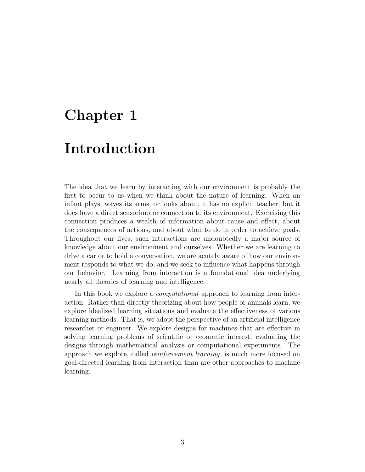## Chapter 1

# Introduction

The idea that we learn by interacting with our environment is probably the first to occur to us when we think about the nature of learning. When an infant plays, waves its arms, or looks about, it has no explicit teacher, but it does have a direct sensorimotor connection to its environment. Exercising this connection produces a wealth of information about cause and effect, about the consequences of actions, and about what to do in order to achieve goals. Throughout our lives, such interactions are undoubtedly a major source of knowledge about our environment and ourselves. Whether we are learning to drive a car or to hold a conversation, we are acutely aware of how our environment responds to what we do, and we seek to influence what happens through our behavior. Learning from interaction is a foundational idea underlying nearly all theories of learning and intelligence.

In this book we explore a *computational* approach to learning from interaction. Rather than directly theorizing about how people or animals learn, we explore idealized learning situations and evaluate the effectiveness of various learning methods. That is, we adopt the perspective of an artificial intelligence researcher or engineer. We explore designs for machines that are effective in solving learning problems of scientific or economic interest, evaluating the designs through mathematical analysis or computational experiments. The approach we explore, called reinforcement learning, is much more focused on goal-directed learning from interaction than are other approaches to machine learning.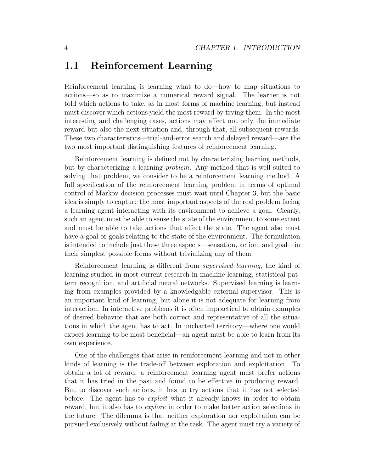#### 1.1 Reinforcement Learning

Reinforcement learning is learning what to do—how to map situations to actions—so as to maximize a numerical reward signal. The learner is not told which actions to take, as in most forms of machine learning, but instead must discover which actions yield the most reward by trying them. In the most interesting and challenging cases, actions may affect not only the immediate reward but also the next situation and, through that, all subsequent rewards. These two characteristics—trial-and-error search and delayed reward—are the two most important distinguishing features of reinforcement learning.

Reinforcement learning is defined not by characterizing learning methods, but by characterizing a learning problem. Any method that is well suited to solving that problem, we consider to be a reinforcement learning method. A full specification of the reinforcement learning problem in terms of optimal control of Markov decision processes must wait until Chapter 3, but the basic idea is simply to capture the most important aspects of the real problem facing a learning agent interacting with its environment to achieve a goal. Clearly, such an agent must be able to sense the state of the environment to some extent and must be able to take actions that affect the state. The agent also must have a goal or goals relating to the state of the environment. The formulation is intended to include just these three aspects—sensation, action, and goal—in their simplest possible forms without trivializing any of them.

Reinforcement learning is different from supervised learning, the kind of learning studied in most current research in machine learning, statistical pattern recognition, and artificial neural networks. Supervised learning is learning from examples provided by a knowledgable external supervisor. This is an important kind of learning, but alone it is not adequate for learning from interaction. In interactive problems it is often impractical to obtain examples of desired behavior that are both correct and representative of all the situations in which the agent has to act. In uncharted territory—where one would expect learning to be most beneficial—an agent must be able to learn from its own experience.

One of the challenges that arise in reinforcement learning and not in other kinds of learning is the trade-off between exploration and exploitation. To obtain a lot of reward, a reinforcement learning agent must prefer actions that it has tried in the past and found to be effective in producing reward. But to discover such actions, it has to try actions that it has not selected before. The agent has to *exploit* what it already knows in order to obtain reward, but it also has to explore in order to make better action selections in the future. The dilemma is that neither exploration nor exploitation can be pursued exclusively without failing at the task. The agent must try a variety of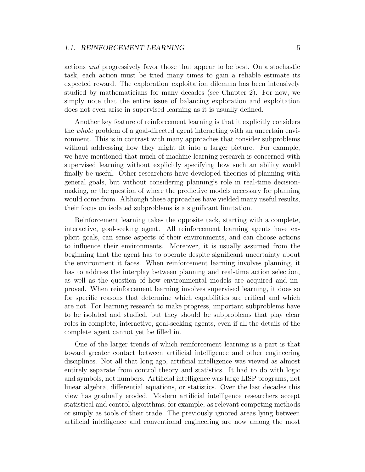#### 1.1. REINFORCEMENT LEARNING 5

actions and progressively favor those that appear to be best. On a stochastic task, each action must be tried many times to gain a reliable estimate its expected reward. The exploration–exploitation dilemma has been intensively studied by mathematicians for many decades (see Chapter 2). For now, we simply note that the entire issue of balancing exploration and exploitation does not even arise in supervised learning as it is usually defined.

Another key feature of reinforcement learning is that it explicitly considers the whole problem of a goal-directed agent interacting with an uncertain environment. This is in contrast with many approaches that consider subproblems without addressing how they might fit into a larger picture. For example, we have mentioned that much of machine learning research is concerned with supervised learning without explicitly specifying how such an ability would finally be useful. Other researchers have developed theories of planning with general goals, but without considering planning's role in real-time decisionmaking, or the question of where the predictive models necessary for planning would come from. Although these approaches have yielded many useful results, their focus on isolated subproblems is a significant limitation.

Reinforcement learning takes the opposite tack, starting with a complete, interactive, goal-seeking agent. All reinforcement learning agents have explicit goals, can sense aspects of their environments, and can choose actions to influence their environments. Moreover, it is usually assumed from the beginning that the agent has to operate despite significant uncertainty about the environment it faces. When reinforcement learning involves planning, it has to address the interplay between planning and real-time action selection, as well as the question of how environmental models are acquired and improved. When reinforcement learning involves supervised learning, it does so for specific reasons that determine which capabilities are critical and which are not. For learning research to make progress, important subproblems have to be isolated and studied, but they should be subproblems that play clear roles in complete, interactive, goal-seeking agents, even if all the details of the complete agent cannot yet be filled in.

One of the larger trends of which reinforcement learning is a part is that toward greater contact between artificial intelligence and other engineering disciplines. Not all that long ago, artificial intelligence was viewed as almost entirely separate from control theory and statistics. It had to do with logic and symbols, not numbers. Artificial intelligence was large LISP programs, not linear algebra, differential equations, or statistics. Over the last decades this view has gradually eroded. Modern artificial intelligence researchers accept statistical and control algorithms, for example, as relevant competing methods or simply as tools of their trade. The previously ignored areas lying between artificial intelligence and conventional engineering are now among the most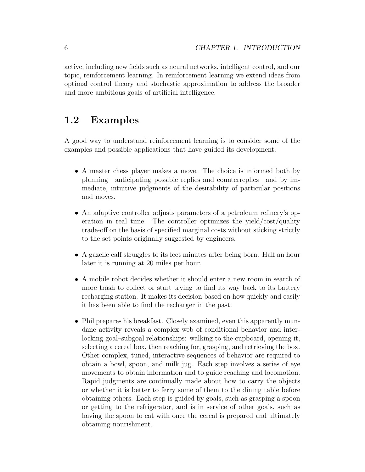active, including new fields such as neural networks, intelligent control, and our topic, reinforcement learning. In reinforcement learning we extend ideas from optimal control theory and stochastic approximation to address the broader and more ambitious goals of artificial intelligence.

### 1.2 Examples

A good way to understand reinforcement learning is to consider some of the examples and possible applications that have guided its development.

- A master chess player makes a move. The choice is informed both by planning—anticipating possible replies and counterreplies—and by immediate, intuitive judgments of the desirability of particular positions and moves.
- An adaptive controller adjusts parameters of a petroleum refinery's operation in real time. The controller optimizes the yield/cost/quality trade-off on the basis of specified marginal costs without sticking strictly to the set points originally suggested by engineers.
- A gazelle calf struggles to its feet minutes after being born. Half an hour later it is running at 20 miles per hour.
- A mobile robot decides whether it should enter a new room in search of more trash to collect or start trying to find its way back to its battery recharging station. It makes its decision based on how quickly and easily it has been able to find the recharger in the past.
- Phil prepares his breakfast. Closely examined, even this apparently mundane activity reveals a complex web of conditional behavior and interlocking goal–subgoal relationships: walking to the cupboard, opening it, selecting a cereal box, then reaching for, grasping, and retrieving the box. Other complex, tuned, interactive sequences of behavior are required to obtain a bowl, spoon, and milk jug. Each step involves a series of eye movements to obtain information and to guide reaching and locomotion. Rapid judgments are continually made about how to carry the objects or whether it is better to ferry some of them to the dining table before obtaining others. Each step is guided by goals, such as grasping a spoon or getting to the refrigerator, and is in service of other goals, such as having the spoon to eat with once the cereal is prepared and ultimately obtaining nourishment.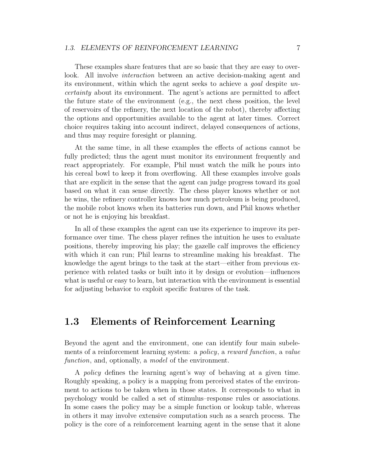#### 1.3. ELEMENTS OF REINFORCEMENT LEARNING  $7$

These examples share features that are so basic that they are easy to overlook. All involve *interaction* between an active decision-making agent and its environment, within which the agent seeks to achieve a goal despite uncertainty about its environment. The agent's actions are permitted to affect the future state of the environment (e.g., the next chess position, the level of reservoirs of the refinery, the next location of the robot), thereby affecting the options and opportunities available to the agent at later times. Correct choice requires taking into account indirect, delayed consequences of actions, and thus may require foresight or planning.

At the same time, in all these examples the effects of actions cannot be fully predicted; thus the agent must monitor its environment frequently and react appropriately. For example, Phil must watch the milk he pours into his cereal bowl to keep it from overflowing. All these examples involve goals that are explicit in the sense that the agent can judge progress toward its goal based on what it can sense directly. The chess player knows whether or not he wins, the refinery controller knows how much petroleum is being produced, the mobile robot knows when its batteries run down, and Phil knows whether or not he is enjoying his breakfast.

In all of these examples the agent can use its experience to improve its performance over time. The chess player refines the intuition he uses to evaluate positions, thereby improving his play; the gazelle calf improves the efficiency with which it can run; Phil learns to streamline making his breakfast. The knowledge the agent brings to the task at the start—either from previous experience with related tasks or built into it by design or evolution—influences what is useful or easy to learn, but interaction with the environment is essential for adjusting behavior to exploit specific features of the task.

### 1.3 Elements of Reinforcement Learning

Beyond the agent and the environment, one can identify four main subelements of a reinforcement learning system: a policy, a reward function, a value function, and, optionally, a model of the environment.

A policy defines the learning agent's way of behaving at a given time. Roughly speaking, a policy is a mapping from perceived states of the environment to actions to be taken when in those states. It corresponds to what in psychology would be called a set of stimulus–response rules or associations. In some cases the policy may be a simple function or lookup table, whereas in others it may involve extensive computation such as a search process. The policy is the core of a reinforcement learning agent in the sense that it alone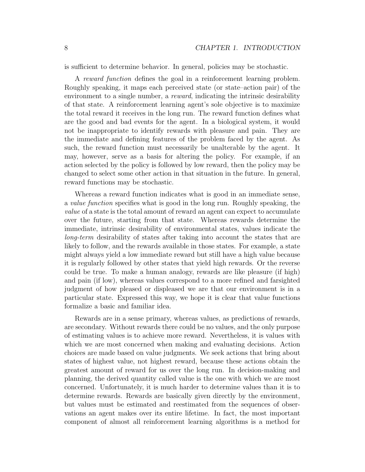is sufficient to determine behavior. In general, policies may be stochastic.

A reward function defines the goal in a reinforcement learning problem. Roughly speaking, it maps each perceived state (or state–action pair) of the environment to a single number, a reward, indicating the intrinsic desirability of that state. A reinforcement learning agent's sole objective is to maximize the total reward it receives in the long run. The reward function defines what are the good and bad events for the agent. In a biological system, it would not be inappropriate to identify rewards with pleasure and pain. They are the immediate and defining features of the problem faced by the agent. As such, the reward function must necessarily be unalterable by the agent. It may, however, serve as a basis for altering the policy. For example, if an action selected by the policy is followed by low reward, then the policy may be changed to select some other action in that situation in the future. In general, reward functions may be stochastic.

Whereas a reward function indicates what is good in an immediate sense, a value function specifies what is good in the long run. Roughly speaking, the value of a state is the total amount of reward an agent can expect to accumulate over the future, starting from that state. Whereas rewards determine the immediate, intrinsic desirability of environmental states, values indicate the long-term desirability of states after taking into account the states that are likely to follow, and the rewards available in those states. For example, a state might always yield a low immediate reward but still have a high value because it is regularly followed by other states that yield high rewards. Or the reverse could be true. To make a human analogy, rewards are like pleasure (if high) and pain (if low), whereas values correspond to a more refined and farsighted judgment of how pleased or displeased we are that our environment is in a particular state. Expressed this way, we hope it is clear that value functions formalize a basic and familiar idea.

Rewards are in a sense primary, whereas values, as predictions of rewards, are secondary. Without rewards there could be no values, and the only purpose of estimating values is to achieve more reward. Nevertheless, it is values with which we are most concerned when making and evaluating decisions. Action choices are made based on value judgments. We seek actions that bring about states of highest value, not highest reward, because these actions obtain the greatest amount of reward for us over the long run. In decision-making and planning, the derived quantity called value is the one with which we are most concerned. Unfortunately, it is much harder to determine values than it is to determine rewards. Rewards are basically given directly by the environment, but values must be estimated and reestimated from the sequences of observations an agent makes over its entire lifetime. In fact, the most important component of almost all reinforcement learning algorithms is a method for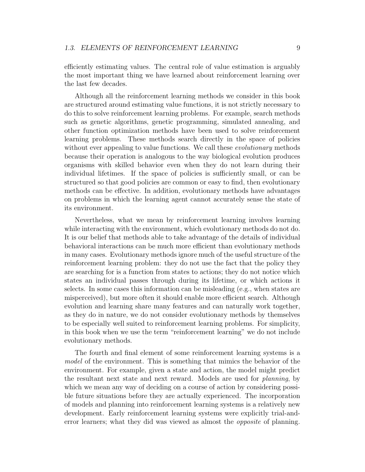efficiently estimating values. The central role of value estimation is arguably the most important thing we have learned about reinforcement learning over the last few decades.

Although all the reinforcement learning methods we consider in this book are structured around estimating value functions, it is not strictly necessary to do this to solve reinforcement learning problems. For example, search methods such as genetic algorithms, genetic programming, simulated annealing, and other function optimization methods have been used to solve reinforcement learning problems. These methods search directly in the space of policies without ever appealing to value functions. We call these *evolutionary* methods because their operation is analogous to the way biological evolution produces organisms with skilled behavior even when they do not learn during their individual lifetimes. If the space of policies is sufficiently small, or can be structured so that good policies are common or easy to find, then evolutionary methods can be effective. In addition, evolutionary methods have advantages on problems in which the learning agent cannot accurately sense the state of its environment.

Nevertheless, what we mean by reinforcement learning involves learning while interacting with the environment, which evolutionary methods do not do. It is our belief that methods able to take advantage of the details of individual behavioral interactions can be much more efficient than evolutionary methods in many cases. Evolutionary methods ignore much of the useful structure of the reinforcement learning problem: they do not use the fact that the policy they are searching for is a function from states to actions; they do not notice which states an individual passes through during its lifetime, or which actions it selects. In some cases this information can be misleading (e.g., when states are misperceived), but more often it should enable more efficient search. Although evolution and learning share many features and can naturally work together, as they do in nature, we do not consider evolutionary methods by themselves to be especially well suited to reinforcement learning problems. For simplicity, in this book when we use the term "reinforcement learning" we do not include evolutionary methods.

The fourth and final element of some reinforcement learning systems is a model of the environment. This is something that mimics the behavior of the environment. For example, given a state and action, the model might predict the resultant next state and next reward. Models are used for planning, by which we mean any way of deciding on a course of action by considering possible future situations before they are actually experienced. The incorporation of models and planning into reinforcement learning systems is a relatively new development. Early reinforcement learning systems were explicitly trial-anderror learners; what they did was viewed as almost the *opposite* of planning.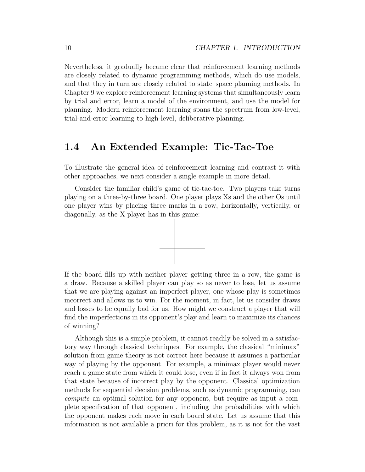Nevertheless, it gradually became clear that reinforcement learning methods are closely related to dynamic programming methods, which do use models, and that they in turn are closely related to state–space planning methods. In Chapter 9 we explore reinforcement learning systems that simultaneously learn by trial and error, learn a model of the environment, and use the model for planning. Modern reinforcement learning spans the spectrum from low-level, trial-and-error learning to high-level, deliberative planning.

### 1.4 An Extended Example: Tic-Tac-Toe

To illustrate the general idea of reinforcement learning and contrast it with other approaches, we next consider a single example in more detail.

Consider the familiar child's game of tic-tac-toe. Two players take turns playing on a three-by-three board. One player plays Xs and the other Os until one player wins by placing three marks in a row, horizontally, vertically, or diagonally, as the X player has in this game:



If the board fills up with neither player getting three in a row, the game is a draw. Because a skilled player can play so as never to lose, let us assume that we are playing against an imperfect player, one whose play is sometimes incorrect and allows us to win. For the moment, in fact, let us consider draws and losses to be equally bad for us. How might we construct a player that will find the imperfections in its opponent's play and learn to maximize its chances of winning?

Although this is a simple problem, it cannot readily be solved in a satisfactory way through classical techniques. For example, the classical "minimax" solution from game theory is not correct here because it assumes a particular way of playing by the opponent. For example, a minimax player would never reach a game state from which it could lose, even if in fact it always won from that state because of incorrect play by the opponent. Classical optimization methods for sequential decision problems, such as dynamic programming, can compute an optimal solution for any opponent, but require as input a complete specification of that opponent, including the probabilities with which the opponent makes each move in each board state. Let us assume that this information is not available a priori for this problem, as it is not for the vast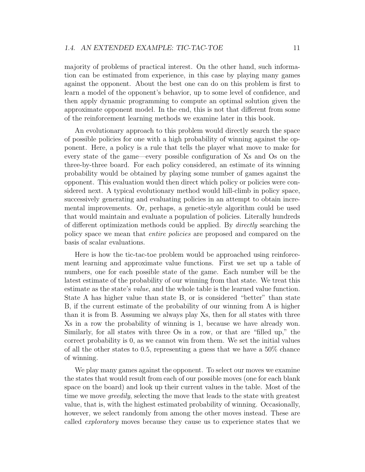majority of problems of practical interest. On the other hand, such information can be estimated from experience, in this case by playing many games against the opponent. About the best one can do on this problem is first to learn a model of the opponent's behavior, up to some level of confidence, and then apply dynamic programming to compute an optimal solution given the approximate opponent model. In the end, this is not that different from some of the reinforcement learning methods we examine later in this book.

An evolutionary approach to this problem would directly search the space of possible policies for one with a high probability of winning against the opponent. Here, a policy is a rule that tells the player what move to make for every state of the game—every possible configuration of Xs and Os on the three-by-three board. For each policy considered, an estimate of its winning probability would be obtained by playing some number of games against the opponent. This evaluation would then direct which policy or policies were considered next. A typical evolutionary method would hill-climb in policy space, successively generating and evaluating policies in an attempt to obtain incremental improvements. Or, perhaps, a genetic-style algorithm could be used that would maintain and evaluate a population of policies. Literally hundreds of different optimization methods could be applied. By directly searching the policy space we mean that entire policies are proposed and compared on the basis of scalar evaluations.

Here is how the tic-tac-toe problem would be approached using reinforcement learning and approximate value functions. First we set up a table of numbers, one for each possible state of the game. Each number will be the latest estimate of the probability of our winning from that state. We treat this estimate as the state's value, and the whole table is the learned value function. State A has higher value than state B, or is considered "better" than state B, if the current estimate of the probability of our winning from A is higher than it is from B. Assuming we always play Xs, then for all states with three Xs in a row the probability of winning is 1, because we have already won. Similarly, for all states with three Os in a row, or that are "filled up," the correct probability is 0, as we cannot win from them. We set the initial values of all the other states to 0.5, representing a guess that we have a 50% chance of winning.

We play many games against the opponent. To select our moves we examine the states that would result from each of our possible moves (one for each blank space on the board) and look up their current values in the table. Most of the time we move *greedily*, selecting the move that leads to the state with greatest value, that is, with the highest estimated probability of winning. Occasionally, however, we select randomly from among the other moves instead. These are called exploratory moves because they cause us to experience states that we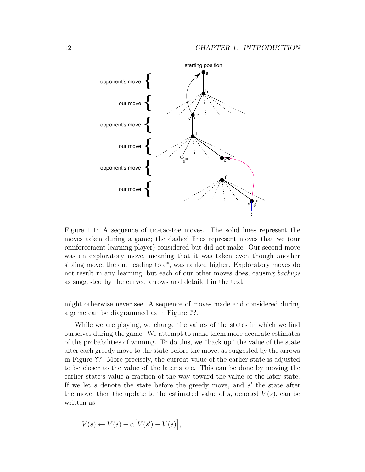

Figure 1.1: A sequence of tic-tac-toe moves. The solid lines represent the moves taken during a game; the dashed lines represent moves that we (our reinforcement learning player) considered but did not make. Our second move was an exploratory move, meaning that it was taken even though another sibling move, the one leading to e ∗ , was ranked higher. Exploratory moves do not result in any learning, but each of our other moves does, causing *backups* as suggested by the curved arrows and detailed in the text.

might otherwise never see. A sequence of moves made and considered during a game can be diagrammed as in Figure ??.

While we are playing, we change the values of the states in which we find ourselves during the game. We attempt to make them more accurate estimates of the probabilities of winning. To do this, we "back up" the value of the state after each greedy move to the state before the move, as suggested by the arrows in Figure ??. More precisely, the current value of the earlier state is adjusted to be closer to the value of the later state. This can be done by moving the earlier state's value a fraction of the way toward the value of the later state. If we let s denote the state before the greedy move, and  $s'$  the state after the move, then the update to the estimated value of s, denoted  $V(s)$ , can be written as

$$
V(s) \leftarrow V(s) + \alpha \Big[ V(s') - V(s) \Big],
$$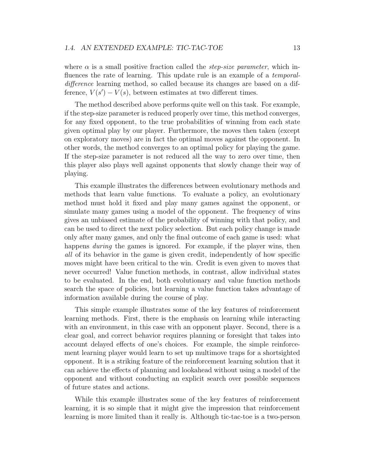where  $\alpha$  is a small positive fraction called the *step-size parameter*, which influences the rate of learning. This update rule is an example of a *temporal*difference learning method, so called because its changes are based on a difference,  $V(s') - V(s)$ , between estimates at two different times.

The method described above performs quite well on this task. For example, if the step-size parameter is reduced properly over time, this method converges, for any fixed opponent, to the true probabilities of winning from each state given optimal play by our player. Furthermore, the moves then taken (except on exploratory moves) are in fact the optimal moves against the opponent. In other words, the method converges to an optimal policy for playing the game. If the step-size parameter is not reduced all the way to zero over time, then this player also plays well against opponents that slowly change their way of playing.

This example illustrates the differences between evolutionary methods and methods that learn value functions. To evaluate a policy, an evolutionary method must hold it fixed and play many games against the opponent, or simulate many games using a model of the opponent. The frequency of wins gives an unbiased estimate of the probability of winning with that policy, and can be used to direct the next policy selection. But each policy change is made only after many games, and only the final outcome of each game is used: what happens *during* the games is ignored. For example, if the player wins, then all of its behavior in the game is given credit, independently of how specific moves might have been critical to the win. Credit is even given to moves that never occurred! Value function methods, in contrast, allow individual states to be evaluated. In the end, both evolutionary and value function methods search the space of policies, but learning a value function takes advantage of information available during the course of play.

This simple example illustrates some of the key features of reinforcement learning methods. First, there is the emphasis on learning while interacting with an environment, in this case with an opponent player. Second, there is a clear goal, and correct behavior requires planning or foresight that takes into account delayed effects of one's choices. For example, the simple reinforcement learning player would learn to set up multimove traps for a shortsighted opponent. It is a striking feature of the reinforcement learning solution that it can achieve the effects of planning and lookahead without using a model of the opponent and without conducting an explicit search over possible sequences of future states and actions.

While this example illustrates some of the key features of reinforcement learning, it is so simple that it might give the impression that reinforcement learning is more limited than it really is. Although tic-tac-toe is a two-person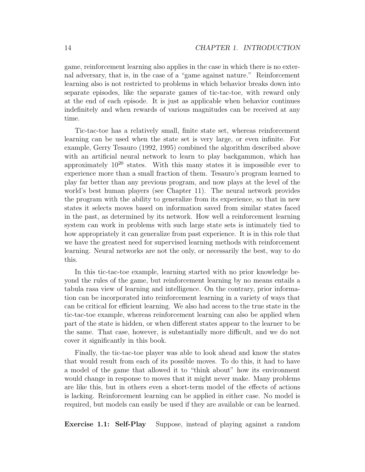game, reinforcement learning also applies in the case in which there is no external adversary, that is, in the case of a "game against nature." Reinforcement learning also is not restricted to problems in which behavior breaks down into separate episodes, like the separate games of tic-tac-toe, with reward only at the end of each episode. It is just as applicable when behavior continues indefinitely and when rewards of various magnitudes can be received at any time.

Tic-tac-toe has a relatively small, finite state set, whereas reinforcement learning can be used when the state set is very large, or even infinite. For example, Gerry Tesauro (1992, 1995) combined the algorithm described above with an artificial neural network to learn to play backgammon, which has approximately  $10^{20}$  states. With this many states it is impossible ever to experience more than a small fraction of them. Tesauro's program learned to play far better than any previous program, and now plays at the level of the world's best human players (see Chapter 11). The neural network provides the program with the ability to generalize from its experience, so that in new states it selects moves based on information saved from similar states faced in the past, as determined by its network. How well a reinforcement learning system can work in problems with such large state sets is intimately tied to how appropriately it can generalize from past experience. It is in this role that we have the greatest need for supervised learning methods with reinforcement learning. Neural networks are not the only, or necessarily the best, way to do this.

In this tic-tac-toe example, learning started with no prior knowledge beyond the rules of the game, but reinforcement learning by no means entails a tabula rasa view of learning and intelligence. On the contrary, prior information can be incorporated into reinforcement learning in a variety of ways that can be critical for efficient learning. We also had access to the true state in the tic-tac-toe example, whereas reinforcement learning can also be applied when part of the state is hidden, or when different states appear to the learner to be the same. That case, however, is substantially more difficult, and we do not cover it significantly in this book.

Finally, the tic-tac-toe player was able to look ahead and know the states that would result from each of its possible moves. To do this, it had to have a model of the game that allowed it to "think about" how its environment would change in response to moves that it might never make. Many problems are like this, but in others even a short-term model of the effects of actions is lacking. Reinforcement learning can be applied in either case. No model is required, but models can easily be used if they are available or can be learned.

Exercise 1.1: Self-Play Suppose, instead of playing against a random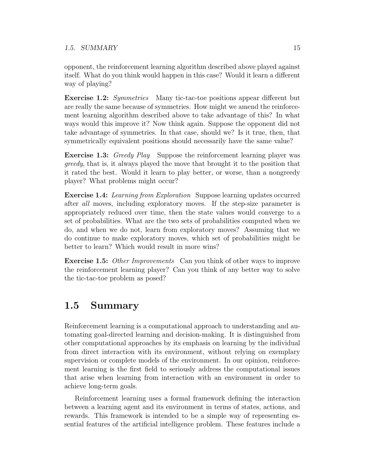opponent, the reinforcement learning algorithm described above played against itself. What do you think would happen in this case? Would it learn a different way of playing?

Exercise 1.2: Symmetries Many tic-tac-toe positions appear different but are really the same because of symmetries. How might we amend the reinforcement learning algorithm described above to take advantage of this? In what ways would this improve it? Now think again. Suppose the opponent did not take advantage of symmetries. In that case, should we? Is it true, then, that symmetrically equivalent positions should necessarily have the same value?

**Exercise 1.3:** Greedy Play Suppose the reinforcement learning player was greedy, that is, it always played the move that brought it to the position that it rated the best. Would it learn to play better, or worse, than a nongreedy player? What problems might occur?

Exercise 1.4: Learning from Exploration Suppose learning updates occurred after all moves, including exploratory moves. If the step-size parameter is appropriately reduced over time, then the state values would converge to a set of probabilities. What are the two sets of probabilities computed when we do, and when we do not, learn from exploratory moves? Assuming that we do continue to make exploratory moves, which set of probabilities might be better to learn? Which would result in more wins?

**Exercise 1.5:** Other Improvements Can you think of other ways to improve the reinforcement learning player? Can you think of any better way to solve the tic-tac-toe problem as posed?

#### 1.5 Summary

Reinforcement learning is a computational approach to understanding and automating goal-directed learning and decision-making. It is distinguished from other computational approaches by its emphasis on learning by the individual from direct interaction with its environment, without relying on exemplary supervision or complete models of the environment. In our opinion, reinforcement learning is the first field to seriously address the computational issues that arise when learning from interaction with an environment in order to achieve long-term goals.

Reinforcement learning uses a formal framework defining the interaction between a learning agent and its environment in terms of states, actions, and rewards. This framework is intended to be a simple way of representing essential features of the artificial intelligence problem. These features include a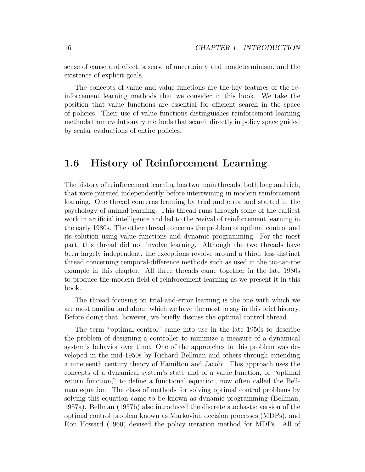sense of cause and effect, a sense of uncertainty and nondeterminism, and the existence of explicit goals.

The concepts of value and value functions are the key features of the reinforcement learning methods that we consider in this book. We take the position that value functions are essential for efficient search in the space of policies. Their use of value functions distinguishes reinforcement learning methods from evolutionary methods that search directly in policy space guided by scalar evaluations of entire policies.

#### 1.6 History of Reinforcement Learning

The history of reinforcement learning has two main threads, both long and rich, that were pursued independently before intertwining in modern reinforcement learning. One thread concerns learning by trial and error and started in the psychology of animal learning. This thread runs through some of the earliest work in artificial intelligence and led to the revival of reinforcement learning in the early 1980s. The other thread concerns the problem of optimal control and its solution using value functions and dynamic programming. For the most part, this thread did not involve learning. Although the two threads have been largely independent, the exceptions revolve around a third, less distinct thread concerning temporal-difference methods such as used in the tic-tac-toe example in this chapter. All three threads came together in the late 1980s to produce the modern field of reinforcement learning as we present it in this book.

The thread focusing on trial-and-error learning is the one with which we are most familiar and about which we have the most to say in this brief history. Before doing that, however, we briefly discuss the optimal control thread.

The term "optimal control" came into use in the late 1950s to describe the problem of designing a controller to minimize a measure of a dynamical system's behavior over time. One of the approaches to this problem was developed in the mid-1950s by Richard Bellman and others through extending a nineteenth century theory of Hamilton and Jacobi. This approach uses the concepts of a dynamical system's state and of a value function, or "optimal return function," to define a functional equation, now often called the Bellman equation. The class of methods for solving optimal control problems by solving this equation came to be known as dynamic programming (Bellman, 1957a). Bellman (1957b) also introduced the discrete stochastic version of the optimal control problem known as Markovian decision processes (MDPs), and Ron Howard (1960) devised the policy iteration method for MDPs. All of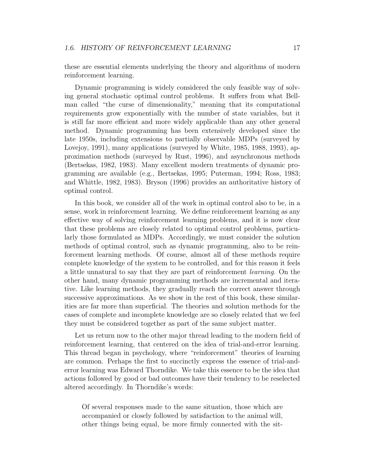these are essential elements underlying the theory and algorithms of modern reinforcement learning.

Dynamic programming is widely considered the only feasible way of solving general stochastic optimal control problems. It suffers from what Bellman called "the curse of dimensionality," meaning that its computational requirements grow exponentially with the number of state variables, but it is still far more efficient and more widely applicable than any other general method. Dynamic programming has been extensively developed since the late 1950s, including extensions to partially observable MDPs (surveyed by Lovejoy, 1991), many applications (surveyed by White, 1985, 1988, 1993), approximation methods (surveyed by Rust, 1996), and asynchronous methods (Bertsekas, 1982, 1983). Many excellent modern treatments of dynamic programming are available (e.g., Bertsekas, 1995; Puterman, 1994; Ross, 1983; and Whittle, 1982, 1983). Bryson (1996) provides an authoritative history of optimal control.

In this book, we consider all of the work in optimal control also to be, in a sense, work in reinforcement learning. We define reinforcement learning as any effective way of solving reinforcement learning problems, and it is now clear that these problems are closely related to optimal control problems, particularly those formulated as MDPs. Accordingly, we must consider the solution methods of optimal control, such as dynamic programming, also to be reinforcement learning methods. Of course, almost all of these methods require complete knowledge of the system to be controlled, and for this reason it feels a little unnatural to say that they are part of reinforcement learning. On the other hand, many dynamic programming methods are incremental and iterative. Like learning methods, they gradually reach the correct answer through successive approximations. As we show in the rest of this book, these similarities are far more than superficial. The theories and solution methods for the cases of complete and incomplete knowledge are so closely related that we feel they must be considered together as part of the same subject matter.

Let us return now to the other major thread leading to the modern field of reinforcement learning, that centered on the idea of trial-and-error learning. This thread began in psychology, where "reinforcement" theories of learning are common. Perhaps the first to succinctly express the essence of trial-anderror learning was Edward Thorndike. We take this essence to be the idea that actions followed by good or bad outcomes have their tendency to be reselected altered accordingly. In Thorndike's words:

Of several responses made to the same situation, those which are accompanied or closely followed by satisfaction to the animal will, other things being equal, be more firmly connected with the sit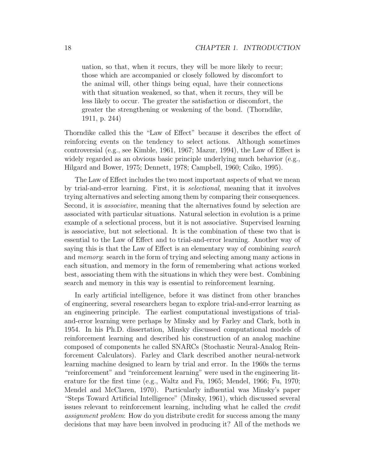uation, so that, when it recurs, they will be more likely to recur; those which are accompanied or closely followed by discomfort to the animal will, other things being equal, have their connections with that situation weakened, so that, when it recurs, they will be less likely to occur. The greater the satisfaction or discomfort, the greater the strengthening or weakening of the bond. (Thorndike, 1911, p. 244)

Thorndike called this the "Law of Effect" because it describes the effect of reinforcing events on the tendency to select actions. Although sometimes controversial (e.g., see Kimble, 1961, 1967; Mazur, 1994), the Law of Effect is widely regarded as an obvious basic principle underlying much behavior (e.g., Hilgard and Bower, 1975; Dennett, 1978; Campbell, 1960; Cziko, 1995).

The Law of Effect includes the two most important aspects of what we mean by trial-and-error learning. First, it is selectional, meaning that it involves trying alternatives and selecting among them by comparing their consequences. Second, it is associative, meaning that the alternatives found by selection are associated with particular situations. Natural selection in evolution is a prime example of a selectional process, but it is not associative. Supervised learning is associative, but not selectional. It is the combination of these two that is essential to the Law of Effect and to trial-and-error learning. Another way of saying this is that the Law of Effect is an elementary way of combining search and *memory*: search in the form of trying and selecting among many actions in each situation, and memory in the form of remembering what actions worked best, associating them with the situations in which they were best. Combining search and memory in this way is essential to reinforcement learning.

In early artificial intelligence, before it was distinct from other branches of engineering, several researchers began to explore trial-and-error learning as an engineering principle. The earliest computational investigations of trialand-error learning were perhaps by Minsky and by Farley and Clark, both in 1954. In his Ph.D. dissertation, Minsky discussed computational models of reinforcement learning and described his construction of an analog machine composed of components he called SNARCs (Stochastic Neural-Analog Reinforcement Calculators). Farley and Clark described another neural-network learning machine designed to learn by trial and error. In the 1960s the terms "reinforcement" and "reinforcement learning" were used in the engineering literature for the first time (e.g., Waltz and Fu, 1965; Mendel, 1966; Fu, 1970; Mendel and McClaren, 1970). Particularly influential was Minsky's paper "Steps Toward Artificial Intelligence" (Minsky, 1961), which discussed several issues relevant to reinforcement learning, including what he called the credit assignment problem: How do you distribute credit for success among the many decisions that may have been involved in producing it? All of the methods we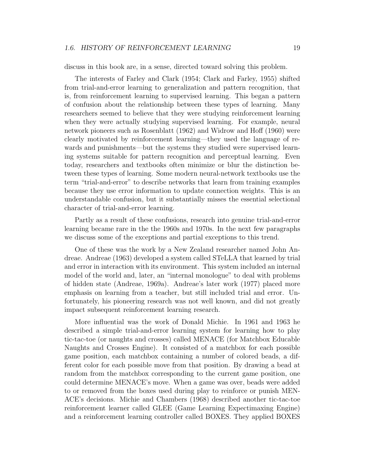discuss in this book are, in a sense, directed toward solving this problem.

The interests of Farley and Clark (1954; Clark and Farley, 1955) shifted from trial-and-error learning to generalization and pattern recognition, that is, from reinforcement learning to supervised learning. This began a pattern of confusion about the relationship between these types of learning. Many researchers seemed to believe that they were studying reinforcement learning when they were actually studying supervised learning. For example, neural network pioneers such as Rosenblatt (1962) and Widrow and Hoff (1960) were clearly motivated by reinforcement learning—they used the language of rewards and punishments—but the systems they studied were supervised learning systems suitable for pattern recognition and perceptual learning. Even today, researchers and textbooks often minimize or blur the distinction between these types of learning. Some modern neural-network textbooks use the term "trial-and-error" to describe networks that learn from training examples because they use error information to update connection weights. This is an understandable confusion, but it substantially misses the essential selectional character of trial-and-error learning.

Partly as a result of these confusions, research into genuine trial-and-error learning became rare in the the 1960s and 1970s. In the next few paragraphs we discuss some of the exceptions and partial exceptions to this trend.

One of these was the work by a New Zealand researcher named John Andreae. Andreae (1963) developed a system called STeLLA that learned by trial and error in interaction with its environment. This system included an internal model of the world and, later, an "internal monologue" to deal with problems of hidden state (Andreae, 1969a). Andreae's later work (1977) placed more emphasis on learning from a teacher, but still included trial and error. Unfortunately, his pioneering research was not well known, and did not greatly impact subsequent reinforcement learning research.

More influential was the work of Donald Michie. In 1961 and 1963 he described a simple trial-and-error learning system for learning how to play tic-tac-toe (or naughts and crosses) called MENACE (for Matchbox Educable Naughts and Crosses Engine). It consisted of a matchbox for each possible game position, each matchbox containing a number of colored beads, a different color for each possible move from that position. By drawing a bead at random from the matchbox corresponding to the current game position, one could determine MENACE's move. When a game was over, beads were added to or removed from the boxes used during play to reinforce or punish MEN-ACE's decisions. Michie and Chambers (1968) described another tic-tac-toe reinforcement learner called GLEE (Game Learning Expectimaxing Engine) and a reinforcement learning controller called BOXES. They applied BOXES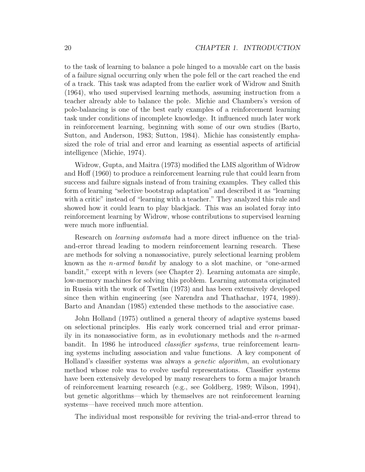to the task of learning to balance a pole hinged to a movable cart on the basis of a failure signal occurring only when the pole fell or the cart reached the end of a track. This task was adapted from the earlier work of Widrow and Smith (1964), who used supervised learning methods, assuming instruction from a teacher already able to balance the pole. Michie and Chambers's version of pole-balancing is one of the best early examples of a reinforcement learning task under conditions of incomplete knowledge. It influenced much later work in reinforcement learning, beginning with some of our own studies (Barto, Sutton, and Anderson, 1983; Sutton, 1984). Michie has consistently emphasized the role of trial and error and learning as essential aspects of artificial intelligence (Michie, 1974).

Widrow, Gupta, and Maitra (1973) modified the LMS algorithm of Widrow and Hoff (1960) to produce a reinforcement learning rule that could learn from success and failure signals instead of from training examples. They called this form of learning "selective bootstrap adaptation" and described it as "learning with a critic" instead of "learning with a teacher." They analyzed this rule and showed how it could learn to play blackjack. This was an isolated foray into reinforcement learning by Widrow, whose contributions to supervised learning were much more influential.

Research on learning automata had a more direct influence on the trialand-error thread leading to modern reinforcement learning research. These are methods for solving a nonassociative, purely selectional learning problem known as the *n*-armed bandit by analogy to a slot machine, or "one-armed" bandit," except with n levers (see Chapter 2). Learning automata are simple, low-memory machines for solving this problem. Learning automata originated in Russia with the work of Tsetlin (1973) and has been extensively developed since then within engineering (see Narendra and Thathachar, 1974, 1989). Barto and Anandan (1985) extended these methods to the associative case.

John Holland (1975) outlined a general theory of adaptive systems based on selectional principles. His early work concerned trial and error primarily in its nonassociative form, as in evolutionary methods and the  $n$ -armed bandit. In 1986 he introduced *classifier systems*, true reinforcement learning systems including association and value functions. A key component of Holland's classifier systems was always a *genetic algorithm*, an evolutionary method whose role was to evolve useful representations. Classifier systems have been extensively developed by many researchers to form a major branch of reinforcement learning research (e.g., see Goldberg, 1989; Wilson, 1994), but genetic algorithms—which by themselves are not reinforcement learning systems—have received much more attention.

The individual most responsible for reviving the trial-and-error thread to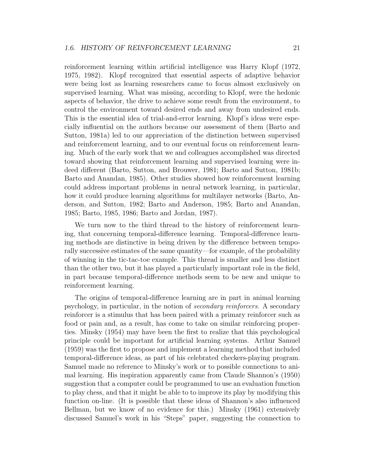reinforcement learning within artificial intelligence was Harry Klopf (1972, 1975, 1982). Klopf recognized that essential aspects of adaptive behavior were being lost as learning researchers came to focus almost exclusively on supervised learning. What was missing, according to Klopf, were the hedonic aspects of behavior, the drive to achieve some result from the environment, to control the environment toward desired ends and away from undesired ends. This is the essential idea of trial-and-error learning. Klopf's ideas were especially influential on the authors because our assessment of them (Barto and Sutton, 1981a) led to our appreciation of the distinction between supervised and reinforcement learning, and to our eventual focus on reinforcement learning. Much of the early work that we and colleagues accomplished was directed toward showing that reinforcement learning and supervised learning were indeed different (Barto, Sutton, and Brouwer, 1981; Barto and Sutton, 1981b; Barto and Anandan, 1985). Other studies showed how reinforcement learning could address important problems in neural network learning, in particular, how it could produce learning algorithms for multilayer networks (Barto, Anderson, and Sutton, 1982; Barto and Anderson, 1985; Barto and Anandan, 1985; Barto, 1985, 1986; Barto and Jordan, 1987).

We turn now to the third thread to the history of reinforcement learning, that concerning temporal-difference learning. Temporal-difference learning methods are distinctive in being driven by the difference between temporally successive estimates of the same quantity—for example, of the probability of winning in the tic-tac-toe example. This thread is smaller and less distinct than the other two, but it has played a particularly important role in the field, in part because temporal-difference methods seem to be new and unique to reinforcement learning.

The origins of temporal-difference learning are in part in animal learning psychology, in particular, in the notion of secondary reinforcers. A secondary reinforcer is a stimulus that has been paired with a primary reinforcer such as food or pain and, as a result, has come to take on similar reinforcing properties. Minsky (1954) may have been the first to realize that this psychological principle could be important for artificial learning systems. Arthur Samuel (1959) was the first to propose and implement a learning method that included temporal-difference ideas, as part of his celebrated checkers-playing program. Samuel made no reference to Minsky's work or to possible connections to animal learning. His inspiration apparently came from Claude Shannon's (1950) suggestion that a computer could be programmed to use an evaluation function to play chess, and that it might be able to to improve its play by modifying this function on-line. (It is possible that these ideas of Shannon's also influenced Bellman, but we know of no evidence for this.) Minsky (1961) extensively discussed Samuel's work in his "Steps" paper, suggesting the connection to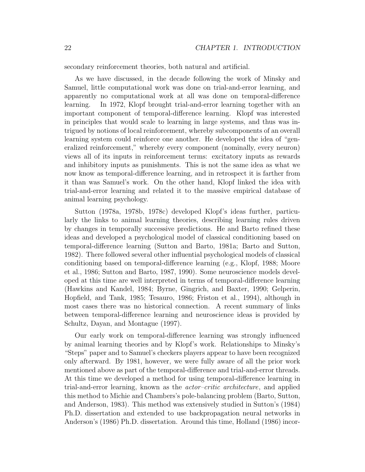secondary reinforcement theories, both natural and artificial.

As we have discussed, in the decade following the work of Minsky and Samuel, little computational work was done on trial-and-error learning, and apparently no computational work at all was done on temporal-difference learning. In 1972, Klopf brought trial-and-error learning together with an important component of temporal-difference learning. Klopf was interested in principles that would scale to learning in large systems, and thus was intrigued by notions of local reinforcement, whereby subcomponents of an overall learning system could reinforce one another. He developed the idea of "generalized reinforcement," whereby every component (nominally, every neuron) views all of its inputs in reinforcement terms: excitatory inputs as rewards and inhibitory inputs as punishments. This is not the same idea as what we now know as temporal-difference learning, and in retrospect it is farther from it than was Samuel's work. On the other hand, Klopf linked the idea with trial-and-error learning and related it to the massive empirical database of animal learning psychology.

Sutton (1978a, 1978b, 1978c) developed Klopf's ideas further, particularly the links to animal learning theories, describing learning rules driven by changes in temporally successive predictions. He and Barto refined these ideas and developed a psychological model of classical conditioning based on temporal-difference learning (Sutton and Barto, 1981a; Barto and Sutton, 1982). There followed several other influential psychological models of classical conditioning based on temporal-difference learning (e.g., Klopf, 1988; Moore et al., 1986; Sutton and Barto, 1987, 1990). Some neuroscience models developed at this time are well interpreted in terms of temporal-difference learning (Hawkins and Kandel, 1984; Byrne, Gingrich, and Baxter, 1990; Gelperin, Hopfield, and Tank, 1985; Tesauro, 1986; Friston et al., 1994), although in most cases there was no historical connection. A recent summary of links between temporal-difference learning and neuroscience ideas is provided by Schultz, Dayan, and Montague (1997).

Our early work on temporal-difference learning was strongly influenced by animal learning theories and by Klopf's work. Relationships to Minsky's "Steps" paper and to Samuel's checkers players appear to have been recognized only afterward. By 1981, however, we were fully aware of all the prior work mentioned above as part of the temporal-difference and trial-and-error threads. At this time we developed a method for using temporal-difference learning in trial-and-error learning, known as the actor–critic architecture, and applied this method to Michie and Chambers's pole-balancing problem (Barto, Sutton, and Anderson, 1983). This method was extensively studied in Sutton's (1984) Ph.D. dissertation and extended to use backpropagation neural networks in Anderson's (1986) Ph.D. dissertation. Around this time, Holland (1986) incor-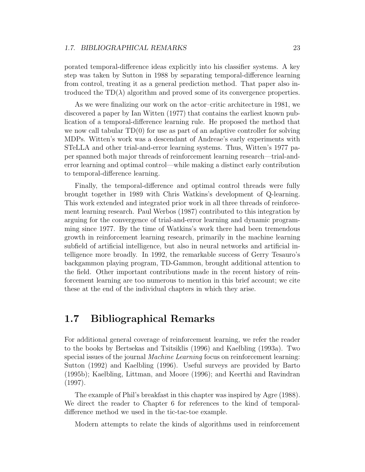#### 1.7. BIBLIOGRAPHICAL REMARKS 23

porated temporal-difference ideas explicitly into his classifier systems. A key step was taken by Sutton in 1988 by separating temporal-difference learning from control, treating it as a general prediction method. That paper also introduced the  $TD(\lambda)$  algorithm and proved some of its convergence properties.

As we were finalizing our work on the actor–critic architecture in 1981, we discovered a paper by Ian Witten (1977) that contains the earliest known publication of a temporal-difference learning rule. He proposed the method that we now call tabular TD(0) for use as part of an adaptive controller for solving MDPs. Witten's work was a descendant of Andreae's early experiments with STeLLA and other trial-and-error learning systems. Thus, Witten's 1977 paper spanned both major threads of reinforcement learning research—trial-anderror learning and optimal control—while making a distinct early contribution to temporal-difference learning.

Finally, the temporal-difference and optimal control threads were fully brought together in 1989 with Chris Watkins's development of Q-learning. This work extended and integrated prior work in all three threads of reinforcement learning research. Paul Werbos (1987) contributed to this integration by arguing for the convergence of trial-and-error learning and dynamic programming since 1977. By the time of Watkins's work there had been tremendous growth in reinforcement learning research, primarily in the machine learning subfield of artificial intelligence, but also in neural networks and artificial intelligence more broadly. In 1992, the remarkable success of Gerry Tesauro's backgammon playing program, TD-Gammon, brought additional attention to the field. Other important contributions made in the recent history of reinforcement learning are too numerous to mention in this brief account; we cite these at the end of the individual chapters in which they arise.

### 1.7 Bibliographical Remarks

For additional general coverage of reinforcement learning, we refer the reader to the books by Bertsekas and Tsitsiklis (1996) and Kaelbling (1993a). Two special issues of the journal *Machine Learning* focus on reinforcement learning: Sutton (1992) and Kaelbling (1996). Useful surveys are provided by Barto (1995b); Kaelbling, Littman, and Moore (1996); and Keerthi and Ravindran (1997).

The example of Phil's breakfast in this chapter was inspired by Agre (1988). We direct the reader to Chapter 6 for references to the kind of temporaldifference method we used in the tic-tac-toe example.

Modern attempts to relate the kinds of algorithms used in reinforcement